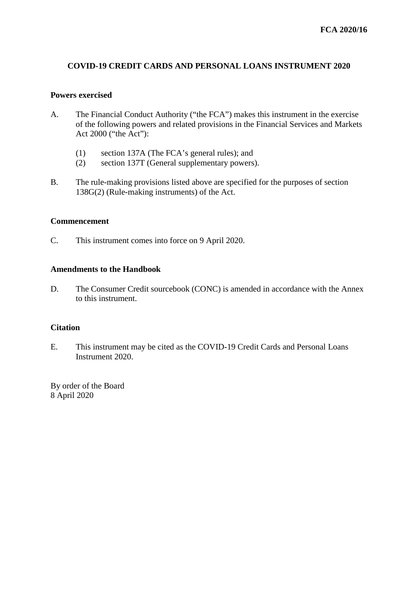# **COVID-19 CREDIT CARDS AND PERSONAL LOANS INSTRUMENT 2020**

#### **Powers exercised**

- A. The Financial Conduct Authority ("the FCA") makes this instrument in the exercise of the following powers and related provisions in the Financial Services and Markets Act 2000 ("the Act"):
	- (1) section 137A (The FCA's general rules); and
	- (2) section 137T (General supplementary powers).
- B. The rule-making provisions listed above are specified for the purposes of section 138G(2) (Rule-making instruments) of the Act.

### **Commencement**

C. This instrument comes into force on 9 April 2020.

#### **Amendments to the Handbook**

D. The Consumer Credit sourcebook (CONC) is amended in accordance with the Annex to this instrument.

#### **Citation**

E. This instrument may be cited as the COVID-19 Credit Cards and Personal Loans Instrument 2020.

By order of the Board 8 April 2020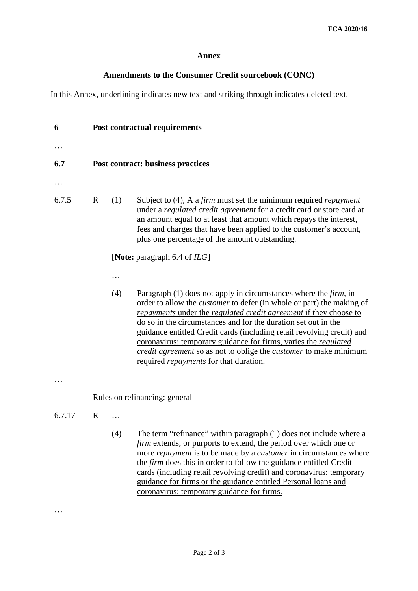## **Annex**

# **Amendments to the Consumer Credit sourcebook (CONC)**

In this Annex, underlining indicates new text and striking through indicates deleted text.

| 6      | <b>Post contractual requirements</b> |                  |                                                                                                                                                                                                                                                                                                                                                                                                                                                                                                                                                                           |
|--------|--------------------------------------|------------------|---------------------------------------------------------------------------------------------------------------------------------------------------------------------------------------------------------------------------------------------------------------------------------------------------------------------------------------------------------------------------------------------------------------------------------------------------------------------------------------------------------------------------------------------------------------------------|
|        |                                      |                  |                                                                                                                                                                                                                                                                                                                                                                                                                                                                                                                                                                           |
| 6.7    | Post contract: business practices    |                  |                                                                                                                                                                                                                                                                                                                                                                                                                                                                                                                                                                           |
|        |                                      |                  |                                                                                                                                                                                                                                                                                                                                                                                                                                                                                                                                                                           |
| 6.7.5  | $\mathbb{R}$                         | (1)              | Subject to $(4)$ , A a firm must set the minimum required <i>repayment</i><br>under a regulated credit agreement for a credit card or store card at<br>an amount equal to at least that amount which repays the interest,<br>fees and charges that have been applied to the customer's account,<br>plus one percentage of the amount outstanding.                                                                                                                                                                                                                         |
|        | [Note: paragraph 6.4 of $ILG$ ]      |                  |                                                                                                                                                                                                                                                                                                                                                                                                                                                                                                                                                                           |
|        |                                      |                  |                                                                                                                                                                                                                                                                                                                                                                                                                                                                                                                                                                           |
|        |                                      | (4)              | Paragraph (1) does not apply in circumstances where the <i>firm</i> , in<br>order to allow the <i>customer</i> to defer (in whole or part) the making of<br>repayments under the regulated credit agreement if they choose to<br>do so in the circumstances and for the duration set out in the<br>guidance entitled Credit cards (including retail revolving credit) and<br>coronavirus: temporary guidance for firms, varies the <i>regulated</i><br>credit agreement so as not to oblige the customer to make minimum<br>required <i>repayments</i> for that duration. |
|        |                                      |                  |                                                                                                                                                                                                                                                                                                                                                                                                                                                                                                                                                                           |
|        | Rules on refinancing: general        |                  |                                                                                                                                                                                                                                                                                                                                                                                                                                                                                                                                                                           |
| 6.7.17 | $\mathbb{R}$                         |                  |                                                                                                                                                                                                                                                                                                                                                                                                                                                                                                                                                                           |
|        |                                      | $\left(4\right)$ | The term "refinance" within paragraph (1) does not include where a<br><i>firm</i> extends, or purports to extend, the period over which one or<br>more <i>repayment</i> is to be made by a <i>customer</i> in circumstances where<br>the <i>firm</i> does this in order to follow the guidance entitled Credit<br>cards (including retail revolving credit) and coronavirus: temporary<br>guidance for firms or the guidance entitled Personal loans and<br>coronavirus: temporary guidance for firms.                                                                    |

…